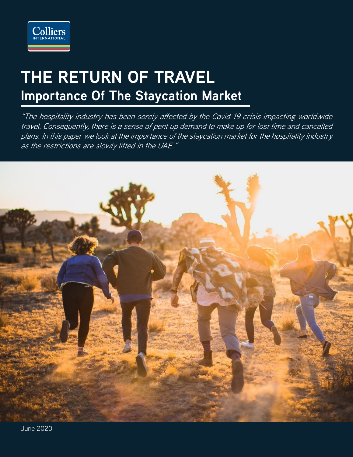

# **THE RETURN OF TRAVEL Importance Of The Staycation Market**

"The hospitality industry has been sorely affected by the Covid-19 crisis impacting worldwide travel. Consequently, there is a sense of pent up demand to make up for lost time and cancelled plans. In this paper we look at the importance of the staycation market for the hospitality industry as the restrictions are slowly lifted in the UAE."

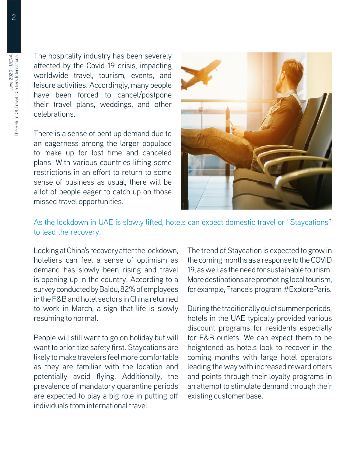The Return Of Travel | Colliers International

The hospitality industry has been severely affected by the Covid-19 crisis, impacting worldwide travel, tourism, events, and leisure activities. Accordingly, many people have been forced to cancel/postpone their travel plans, weddings, and other celebrations.

There is a sense of pent up demand due to an eagerness among the larger populace to make up for lost time and canceled plans. With various countries lifting some restrictions in an effort to return to some sense of business as usual, there will be a lot of people eager to catch up on those missed travel opportunities.



#### As the lockdown in UAE is slowly lifted, hotels can expect domestic travel or "Staycations" to lead the recovery.

Looking at China's recovery after the lockdown, hoteliers can feel a sense of optimism as demand has slowly been rising and travel is opening up in the country. According to a survey conducted by Baidu, 82% of employees in the F&B and hotel sectors in China returned to work in March, a sign that life is slowly resuming to normal.

People will still want to go on holiday but will want to prioritize safety first. Staycations are likely to make travelers feel more comfortable as they are familiar with the location and potentially avoid flying. Additionally, the prevalence of mandatory quarantine periods are expected to play a big role in putting off individuals from international travel.

The trend of Staycation is expected to grow in the coming months as a response to the COVID 19, as well as the need for sustainable tourism. More destinations are promoting local tourism, for example, France's program #ExploreParis.

During the traditionally quiet summer periods, hotels in the UAE typically provided various discount programs for residents especially for F&B outlets. We can expect them to be heightened as hotels look to recover in the coming months with large hotel operators leading the way with increased reward offers and points through their loyalty programs in an attempt to stimulate demand through their existing customer base.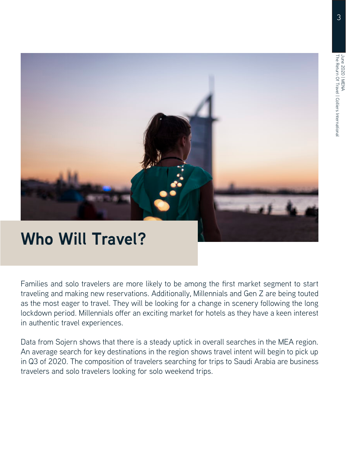

# **Who Will Travel?**

Families and solo travelers are more likely to be among the first market segment to start traveling and making new reservations. Additionally, Millennials and Gen Z are being touted as the most eager to travel. They will be looking for a change in scenery following the long lockdown period. Millennials offer an exciting market for hotels as they have a keen interest in authentic travel experiences.

Data from Sojern shows that there is a steady uptick in overall searches in the MEA region. An average search for key destinations in the region shows travel intent will begin to pick up in Q3 of 2020. The composition of travelers searching for trips to Saudi Arabia are business travelers and solo travelers looking for solo weekend trips.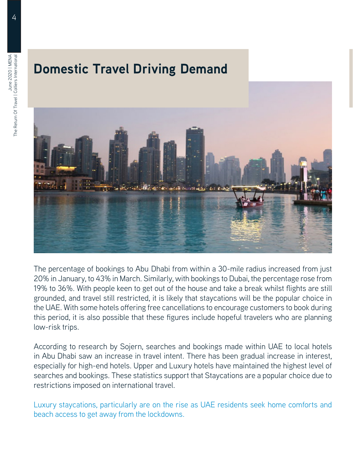## **Domestic Travel Driving Demand**



The percentage of bookings to Abu Dhabi from within a 30-mile radius increased from just 20% in January, to 43% in March. Similarly, with bookings to Dubai, the percentage rose from 19% to 36%. With people keen to get out of the house and take a break whilst flights are still grounded, and travel still restricted, it is likely that staycations will be the popular choice in the UAE. With some hotels offering free cancellations to encourage customers to book during this period, it is also possible that these figures include hopeful travelers who are planning low-risk trips.

According to research by Sojern, searches and bookings made within UAE to local hotels in Abu Dhabi saw an increase in travel intent. There has been gradual increase in interest, especially for high-end hotels. Upper and Luxury hotels have maintained the highest level of searches and bookings. These statistics support that Staycations are a popular choice due to restrictions imposed on international travel.

Luxury staycations, particularly are on the rise as UAE residents seek home comforts and beach access to get away from the lockdowns.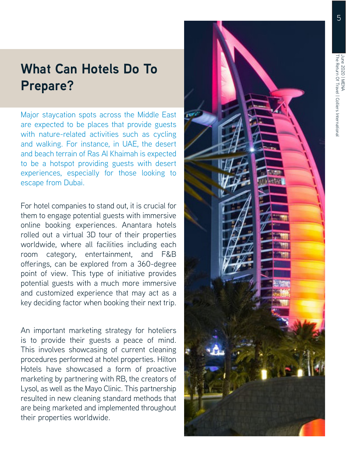### **What Can Hotels Do To Prepare?**

Major staycation spots across the Middle East are expected to be places that provide guests with nature-related activities such as cycling and walking. For instance, in UAE, the desert and beach terrain of Ras Al Khaimah is expected to be a hotspot providing guests with desert experiences, especially for those looking to escape from Dubai.

For hotel companies to stand out, it is crucial for them to engage potential guests with immersive online booking experiences. Anantara hotels rolled out a virtual 3D tour of their properties worldwide, where all facilities including each room category, entertainment, and F&B offerings, can be explored from a 360-degree point of view. This type of initiative provides potential guests with a much more immersive and customized experience that may act as a key deciding factor when booking their next trip.

An important marketing strategy for hoteliers is to provide their guests a peace of mind. This involves showcasing of current cleaning procedures performed at hotel properties. Hilton Hotels have showcased a form of proactive marketing by partnering with RB, the creators of Lysol, as well as the Mayo Clinic. This partnership resulted in new cleaning standard methods that are being marketed and implemented throughout their properties worldwide.

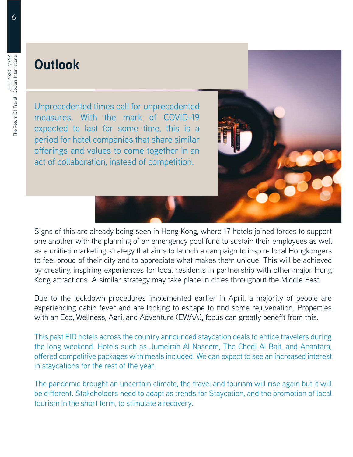### **Outlook**

Unprecedented times call for unprecedented measures. With the mark of COVID-19 expected to last for some time, this is a period for hotel companies that share similar offerings and values to come together in an act of collaboration, instead of competition.



Signs of this are already being seen in Hong Kong, where 17 hotels joined forces to support one another with the planning of an emergency pool fund to sustain their employees as well as a unified marketing strategy that aims to launch a campaign to inspire local Hongkongers to feel proud of their city and to appreciate what makes them unique. This will be achieved by creating inspiring experiences for local residents in partnership with other major Hong Kong attractions. A similar strategy may take place in cities throughout the Middle East.

Due to the lockdown procedures implemented earlier in April, a majority of people are experiencing cabin fever and are looking to escape to find some rejuvenation. Properties with an Eco, Wellness, Agri, and Adventure (EWAA), focus can greatly benefit from this.

This past EID hotels across the country announced staycation deals to entice travelers during the long weekend. Hotels such as Jumeirah Al Naseem, The Chedi Al Bait, and Anantara, offered competitive packages with meals included. We can expect to see an increased interest in staycations for the rest of the year.

The pandemic brought an uncertain climate, the travel and tourism will rise again but it will be different. Stakeholders need to adapt as trends for Staycation, and the promotion of local tourism in the short term, to stimulate a recovery.